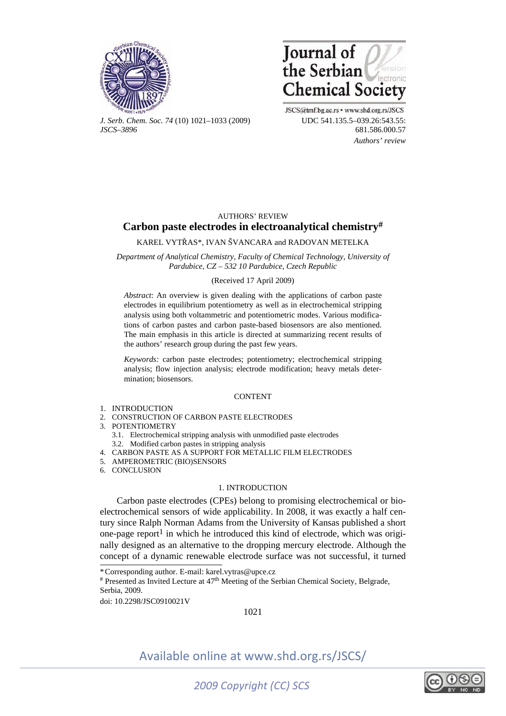



*J. Serb. Chem. Soc. 74* (10) 1021–1033 (2009) UDC 541.135.5–039.26:543.55: *JSCS–3896* 681.586.000.57

JSCS@tmf.bg.ac.rs • www.shd.org.rs/JSCS  *Authors' review* 

# AUTHORS' REVIEW **Carbon paste electrodes in electroanalytical chemistry#**

KAREL VYTŘAS\*, IVAN ŠVANCARA and RADOVAN METELKA

*Department of Analytical Chemistry, Faculty of Chemical Technology, University of Pardubice, CZ – 532 10 Pardubice, Czech Republic* 

#### (Received 17 April 2009)

*Abstract*: An overview is given dealing with the applications of carbon paste electrodes in equilibrium potentiometry as well as in electrochemical stripping analysis using both voltammetric and potentiometric modes. Various modifications of carbon pastes and carbon paste-based biosensors are also mentioned. The main emphasis in this article is directed at summarizing recent results of the authors' research group during the past few years.

*Keywords:* carbon paste electrodes; potentiometry; electrochemical stripping analysis; flow injection analysis; electrode modification; heavy metals determination; biosensors.

### **CONTENT**

- 1. INTRODUCTION
- 2. CONSTRUCTION OF CARBON PASTE ELECTRODES
- 3. POTENTIOMETRY
	- 3.1. Electrochemical stripping analysis with unmodified paste electrodes
- 3.2. Modified carbon pastes in stripping analysis
- 4. CARBON PASTE AS A SUPPORT FOR METALLIC FILM ELECTRODES
- 5. AMPEROMETRIC (BIO)SENSORS
- 6. CONCLUSION

### 1. INTRODUCTION

Carbon paste electrodes (CPEs) belong to promising electrochemical or bioelectrochemical sensors of wide applicability. In 2008, it was exactly a half century since Ralph Norman Adams from the University of Kansas published a short one-page report<sup>1</sup> in which he introduced this kind of electrode, which was originally designed as an alternative to the dropping mercury electrode. Although the concept of a dynamic renewable electrode surface was not successful, it turned

\* Corresponding author. E-mail: karel.vytras@upce.cz

# Presented as Invited Lecture at 47th Meeting of the Serbian Chemical Society, Belgrade, Serbia, 2009.

doi: 10.2298/JSC0910021V

1021

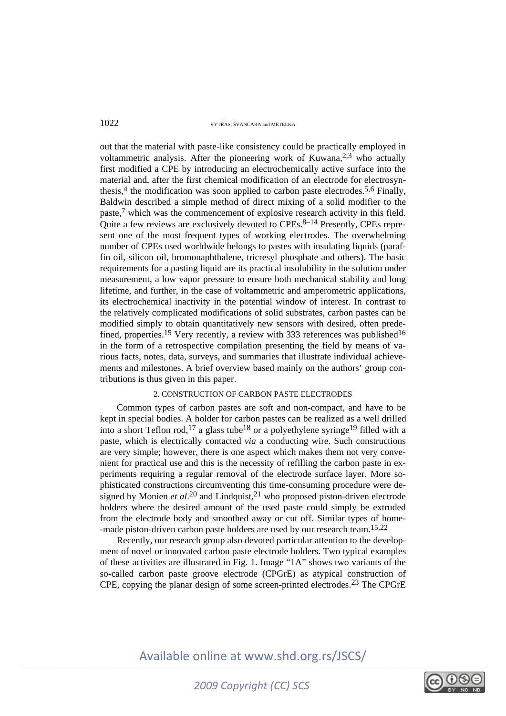out that the material with paste-like consistency could be practically employed in voltammetric analysis. After the pioneering work of Kuwana,  $2.3$  who actually first modified a CPE by introducing an electrochemically active surface into the material and, after the first chemical modification of an electrode for electrosynthesis,<sup>4</sup> the modification was soon applied to carbon paste electrodes.<sup>5,6</sup> Finally, Baldwin described a simple method of direct mixing of a solid modifier to the paste,7 which was the commencement of explosive research activity in this field. Quite a few reviews are exclusively devoted to  $CPEs$ .<sup>8–14</sup> Presently,  $CPEs$  represent one of the most frequent types of working electrodes. The overwhelming number of CPEs used worldwide belongs to pastes with insulating liquids (paraffin oil, silicon oil, bromonaphthalene, tricresyl phosphate and others). The basic requirements for a pasting liquid are its practical insolubility in the solution under measurement, a low vapor pressure to ensure both mechanical stability and long lifetime, and further, in the case of voltammetric and amperometric applications, its electrochemical inactivity in the potential window of interest. In contrast to the relatively complicated modifications of solid substrates, carbon pastes can be modified simply to obtain quantitatively new sensors with desired, often predefined, properties.<sup>15</sup> Very recently, a review with 333 references was published<sup>16</sup> in the form of a retrospective compilation presenting the field by means of various facts, notes, data, surveys, and summaries that illustrate individual achievements and milestones. A brief overview based mainly on the authors' group contributions is thus given in this paper.

### 2. CONSTRUCTION OF CARBON PASTE ELECTRODES

Common types of carbon pastes are soft and non-compact, and have to be kept in special bodies. A holder for carbon pastes can be realized as a well drilled into a short Teflon rod,<sup>17</sup> a glass tube<sup>18</sup> or a polyethylene syringe<sup>19</sup> filled with a paste, which is electrically contacted *via* a conducting wire. Such constructions are very simple; however, there is one aspect which makes them not very convenient for practical use and this is the necessity of refilling the carbon paste in experiments requiring a regular removal of the electrode surface layer. More sophisticated constructions circumventing this time-consuming procedure were designed by Monien *et al.*<sup>20</sup> and Lindquist,<sup>21</sup> who proposed piston-driven electrode holders where the desired amount of the used paste could simply be extruded from the electrode body and smoothed away or cut off. Similar types of home- -made piston-driven carbon paste holders are used by our research team.<sup>15,22</sup>

Recently, our research group also devoted particular attention to the development of novel or innovated carbon paste electrode holders. Two typical examples of these activities are illustrated in Fig. 1. Image "1A" shows two variants of the so-called carbon paste groove electrode (CPGrE) as atypical construction of CPE, copying the planar design of some screen-printed electrodes.23 The CPGrE

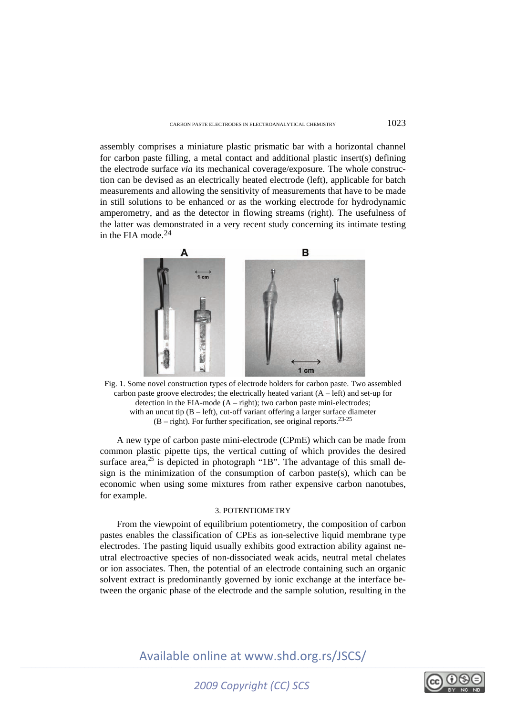assembly comprises a miniature plastic prismatic bar with a horizontal channel for carbon paste filling, a metal contact and additional plastic insert(s) defining the electrode surface *via* its mechanical coverage/exposure. The whole construction can be devised as an electrically heated electrode (left), applicable for batch measurements and allowing the sensitivity of measurements that have to be made in still solutions to be enhanced or as the working electrode for hydrodynamic amperometry, and as the detector in flowing streams (right). The usefulness of the latter was demonstrated in a very recent study concerning its intimate testing in the FIA mode.24



Fig. 1. Some novel construction types of electrode holders for carbon paste. Two assembled carbon paste groove electrodes; the electrically heated variant  $(A - left)$  and set-up for detection in the FIA-mode  $(A - right)$ ; two carbon paste mini-electrodes; with an uncut tip  $(B - left)$ , cut-off variant offering a larger surface diameter (B – right). For further specification, see original reports.23-25

A new type of carbon paste mini-electrode (CPmE) which can be made from common plastic pipette tips, the vertical cutting of which provides the desired surface area,<sup>25</sup> is depicted in photograph "1B". The advantage of this small design is the minimization of the consumption of carbon paste(s), which can be economic when using some mixtures from rather expensive carbon nanotubes, for example.

### 3. POTENTIOMETRY

From the viewpoint of equilibrium potentiometry, the composition of carbon pastes enables the classification of CPEs as ion-selective liquid membrane type electrodes. The pasting liquid usually exhibits good extraction ability against neutral electroactive species of non-dissociated weak acids, neutral metal chelates or ion associates. Then, the potential of an electrode containing such an organic solvent extract is predominantly governed by ionic exchange at the interface between the organic phase of the electrode and the sample solution, resulting in the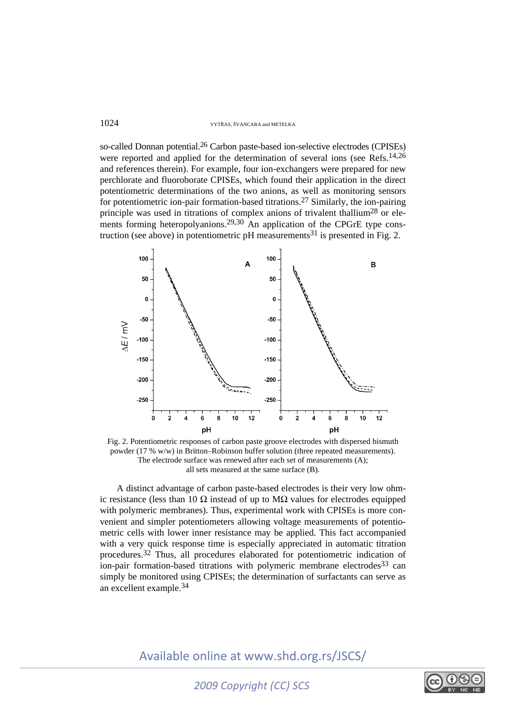so-called Donnan potential.<sup>26</sup> Carbon paste-based ion-selective electrodes (CPISEs) were reported and applied for the determination of several ions (see Refs.<sup>14,26</sup>) and references therein). For example, four ion-exchangers were prepared for new perchlorate and fluoroborate CPISEs, which found their application in the direct potentiometric determinations of the two anions, as well as monitoring sensors for potentiometric ion-pair formation-based titrations.27 Similarly, the ion-pairing principle was used in titrations of complex anions of trivalent thallium<sup>28</sup> or elements forming heteropolyanions.<sup>29,30</sup> An application of the CPGrE type construction (see above) in potentiometric  $pH$  measurements<sup>31</sup> is presented in Fig. 2.



Fig. 2. Potentiometric responses of carbon paste groove electrodes with dispersed bismuth powder (17 % w/w) in Britton–Robinson buffer solution (three repeated measurements). The electrode surface was renewed after each set of measurements (A); all sets measured at the same surface (B).

A distinct advantage of carbon paste-based electrodes is their very low ohmic resistance (less than 10  $\Omega$  instead of up to M $\Omega$  values for electrodes equipped with polymeric membranes). Thus, experimental work with CPISEs is more convenient and simpler potentiometers allowing voltage measurements of potentiometric cells with lower inner resistance may be applied. This fact accompanied with a very quick response time is especially appreciated in automatic titration procedures.32 Thus, all procedures elaborated for potentiometric indication of  $\overline{\text{ion-pair}}$  formation-based titrations with polymeric membrane electrodes<sup>33</sup> can simply be monitored using CPISEs; the determination of surfactants can serve as an excellent example.34

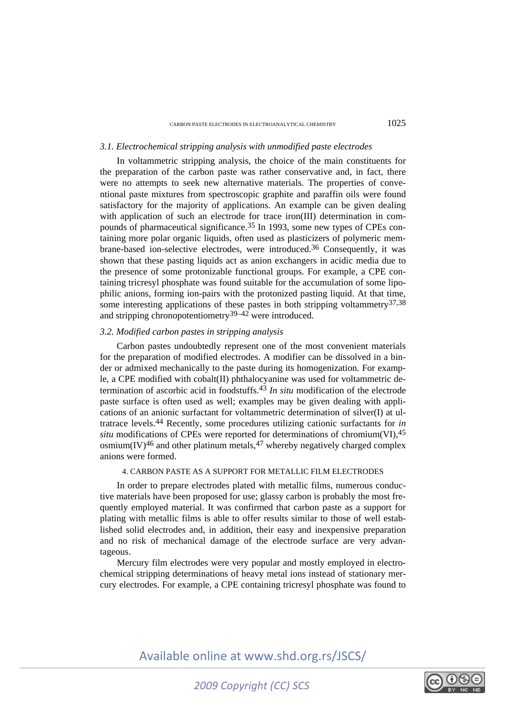### CARBON PASTE ELECTRODES IN ELECTROANALYTICAL CHEMISTRY 1025

# *3.1. Electrochemical stripping analysis with unmodified paste electrodes*

In voltammetric stripping analysis, the choice of the main constituents for the preparation of the carbon paste was rather conservative and, in fact, there were no attempts to seek new alternative materials. The properties of conventional paste mixtures from spectroscopic graphite and paraffin oils were found satisfactory for the majority of applications. An example can be given dealing with application of such an electrode for trace iron(III) determination in compounds of pharmaceutical significance.35 In 1993, some new types of CPEs containing more polar organic liquids, often used as plasticizers of polymeric membrane-based ion-selective electrodes, were introduced.36 Consequently, it was shown that these pasting liquids act as anion exchangers in acidic media due to the presence of some protonizable functional groups. For example, a CPE containing tricresyl phosphate was found suitable for the accumulation of some lipophilic anions, forming ion-pairs with the protonized pasting liquid. At that time, some interesting applications of these pastes in both stripping voltammetry $37,38$ and stripping chronopotentiometry<sup>39–42</sup> were introduced.

### *3.2. Modified carbon pastes in stripping analysis*

Carbon pastes undoubtedly represent one of the most convenient materials for the preparation of modified electrodes. A modifier can be dissolved in a binder or admixed mechanically to the paste during its homogenization. For example, a CPE modified with cobalt(II) phthalocyanine was used for voltammetric determination of ascorbic acid in foodstuffs.43 *In situ* modification of the electrode paste surface is often used as well; examples may be given dealing with applications of an anionic surfactant for voltammetric determination of silver(I) at ultratrace levels.44 Recently, some procedures utilizing cationic surfactants for *in situ* modifications of CPEs were reported for determinations of chromium(VI),<sup>45</sup> osmium $(IV)^{46}$  and other platinum metals,  $47$  whereby negatively charged complex anions were formed.

### 4. CARBON PASTE AS A SUPPORT FOR METALLIC FILM ELECTRODES

In order to prepare electrodes plated with metallic films, numerous conductive materials have been proposed for use; glassy carbon is probably the most frequently employed material. It was confirmed that carbon paste as a support for plating with metallic films is able to offer results similar to those of well established solid electrodes and, in addition, their easy and inexpensive preparation and no risk of mechanical damage of the electrode surface are very advantageous.

Mercury film electrodes were very popular and mostly employed in electrochemical stripping determinations of heavy metal ions instead of stationary mercury electrodes. For example, a CPE containing tricresyl phosphate was found to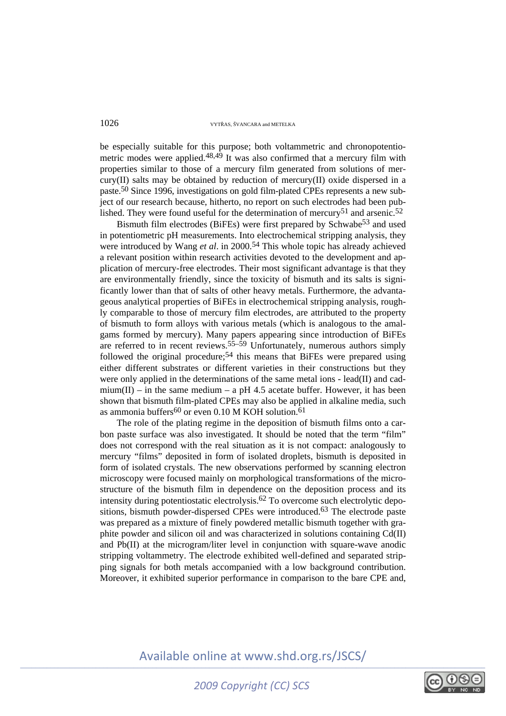be especially suitable for this purpose; both voltammetric and chronopotentiometric modes were applied. $48,49$  It was also confirmed that a mercury film with properties similar to those of a mercury film generated from solutions of mercury(II) salts may be obtained by reduction of mercury(II) oxide dispersed in a paste.50 Since 1996, investigations on gold film-plated CPEs represents a new subject of our research because, hitherto, no report on such electrodes had been published. They were found useful for the determination of mercury<sup>51</sup> and arsenic.<sup>52</sup>

Bismuth film electrodes (BiFEs) were first prepared by Schwabe53 and used in potentiometric pH measurements. Into electrochemical stripping analysis, they were introduced by Wang *et al*. in 2000.54 This whole topic has already achieved a relevant position within research activities devoted to the development and application of mercury-free electrodes. Their most significant advantage is that they are environmentally friendly, since the toxicity of bismuth and its salts is significantly lower than that of salts of other heavy metals. Furthermore, the advantageous analytical properties of BiFEs in electrochemical stripping analysis, roughly comparable to those of mercury film electrodes, are attributed to the property of bismuth to form alloys with various metals (which is analogous to the amalgams formed by mercury). Many papers appearing since introduction of BiFEs are referred to in recent reviews.<sup>55–59</sup> Unfortunately, numerous authors simply followed the original procedure;<sup>54</sup> this means that BiFEs were prepared using either different substrates or different varieties in their constructions but they were only applied in the determinations of the same metal ions - lead(II) and cadmium(II) – in the same medium – a pH 4.5 acetate buffer. However, it has been shown that bismuth film-plated CPEs may also be applied in alkaline media, such as ammonia buffers<sup>60</sup> or even 0.10 M KOH solution.<sup>61</sup>

The role of the plating regime in the deposition of bismuth films onto a carbon paste surface was also investigated. It should be noted that the term "film" does not correspond with the real situation as it is not compact: analogously to mercury "films" deposited in form of isolated droplets, bismuth is deposited in form of isolated crystals. The new observations performed by scanning electron microscopy were focused mainly on morphological transformations of the microstructure of the bismuth film in dependence on the deposition process and its intensity during potentiostatic electrolysis.62 To overcome such electrolytic depositions, bismuth powder-dispersed CPEs were introduced.63 The electrode paste was prepared as a mixture of finely powdered metallic bismuth together with graphite powder and silicon oil and was characterized in solutions containing Cd(II) and Pb(II) at the microgram/liter level in conjunction with square-wave anodic stripping voltammetry. The electrode exhibited well-defined and separated stripping signals for both metals accompanied with a low background contribution. Moreover, it exhibited superior performance in comparison to the bare CPE and,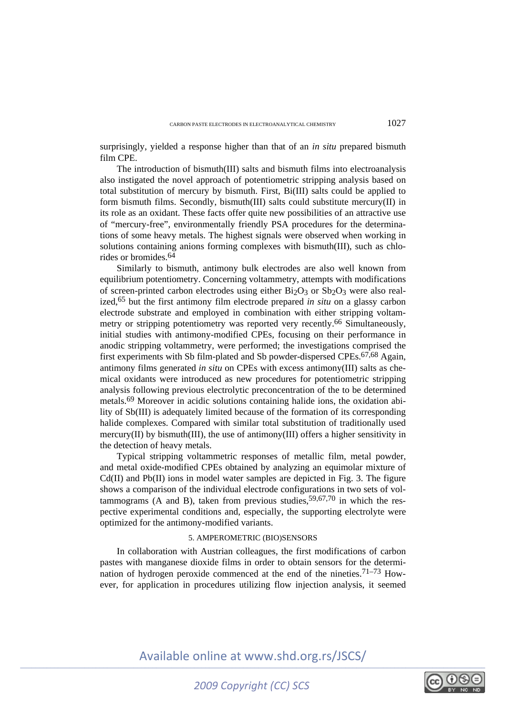surprisingly, yielded a response higher than that of an *in situ* prepared bismuth film CPE.

The introduction of bismuth(III) salts and bismuth films into electroanalysis also instigated the novel approach of potentiometric stripping analysis based on total substitution of mercury by bismuth. First, Bi(III) salts could be applied to form bismuth films. Secondly, bismuth(III) salts could substitute mercury(II) in its role as an oxidant. These facts offer quite new possibilities of an attractive use of "mercury-free", environmentally friendly PSA procedures for the determinations of some heavy metals. The highest signals were observed when working in solutions containing anions forming complexes with bismuth(III), such as chlorides or bromides.64

Similarly to bismuth, antimony bulk electrodes are also well known from equilibrium potentiometry. Concerning voltammetry, attempts with modifications of screen-printed carbon electrodes using either  $Bi<sub>2</sub>O<sub>3</sub>$  or  $Sb<sub>2</sub>O<sub>3</sub>$  were also realized,65 but the first antimony film electrode prepared *in situ* on a glassy carbon electrode substrate and employed in combination with either stripping voltammetry or stripping potentiometry was reported very recently.66 Simultaneously, initial studies with antimony-modified CPEs, focusing on their performance in anodic stripping voltammetry, were performed; the investigations comprised the first experiments with Sb film-plated and Sb powder-dispersed CPEs.<sup>67,68</sup> Again, antimony films generated *in situ* on CPEs with excess antimony(III) salts as chemical oxidants were introduced as new procedures for potentiometric stripping analysis following previous electrolytic preconcentration of the to be determined metals.69 Moreover in acidic solutions containing halide ions, the oxidation ability of Sb(III) is adequately limited because of the formation of its corresponding halide complexes. Compared with similar total substitution of traditionally used mercury(II) by bismuth(III), the use of antimony(III) offers a higher sensitivity in the detection of heavy metals.

Typical stripping voltammetric responses of metallic film, metal powder, and metal oxide-modified CPEs obtained by analyzing an equimolar mixture of Cd(II) and Pb(II) ions in model water samples are depicted in Fig. 3. The figure shows a comparison of the individual electrode configurations in two sets of voltammograms (A and B), taken from previous studies,  $59,67,70$  in which the respective experimental conditions and, especially, the supporting electrolyte were optimized for the antimony-modified variants.

### 5. AMPEROMETRIC (BIO)SENSORS

In collaboration with Austrian colleagues, the first modifications of carbon pastes with manganese dioxide films in order to obtain sensors for the determination of hydrogen peroxide commenced at the end of the nineties.<sup>71–73</sup> However, for application in procedures utilizing flow injection analysis, it seemed

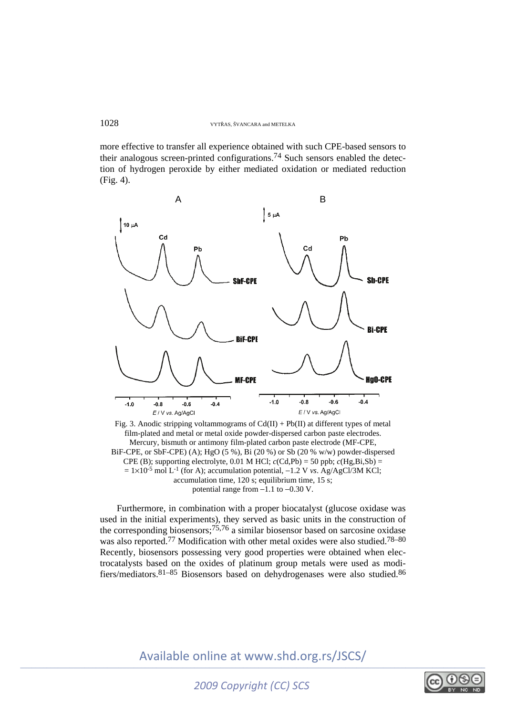more effective to transfer all experience obtained with such CPE-based sensors to their analogous screen-printed configurations.<sup>74</sup> Such sensors enabled the detection of hydrogen peroxide by either mediated oxidation or mediated reduction (Fig. 4).



Fig. 3. Anodic stripping voltammograms of  $Cd(II) + Pb(II)$  at different types of metal film-plated and metal or metal oxide powder-dispersed carbon paste electrodes. Mercury, bismuth or antimony film-plated carbon paste electrode (MF-CPE, BiF-CPE, or SbF-CPE) (A); HgO (5 %), Bi (20 %) or Sb (20 % w/w) powder-dispersed CPE (B); supporting electrolyte, 0.01 M HCl;  $c$ (Cd,Pb) = 50 ppb;  $c$ (Hg,Bi,Sb) =  $= 1 \times 10^{-5}$  mol L<sup>-1</sup> (for A); accumulation potential,  $-1.2$  V *vs*. Ag/AgCl/3M KCl; accumulation time,  $120 \text{ s}$ ; equilibrium time,  $15 \text{ s}$ ; potential range from −1.1 to −0.30 V.

Furthermore, in combination with a proper biocatalyst (glucose oxidase was used in the initial experiments), they served as basic units in the construction of the corresponding biosensors;<sup>75,76</sup> a similar biosensor based on sarcosine oxidase was also reported.<sup>77</sup> Modification with other metal oxides were also studied.<sup>78–80</sup> Recently, biosensors possessing very good properties were obtained when electrocatalysts based on the oxides of platinum group metals were used as modifiers/mediators.81–85 Biosensors based on dehydrogenases were also studied.86

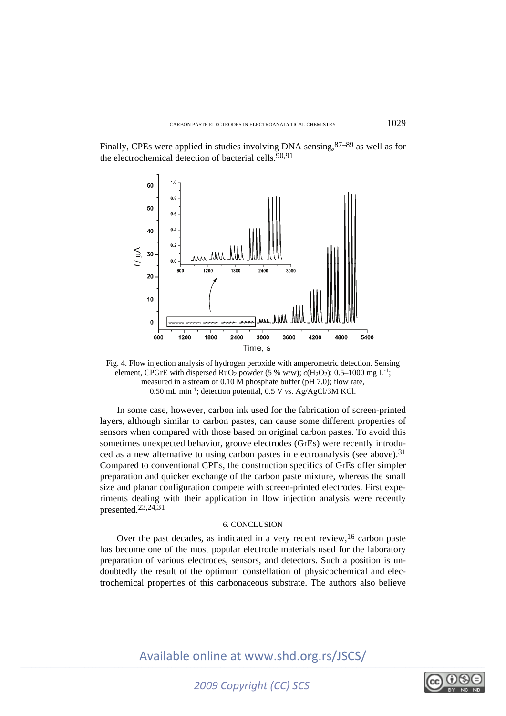Finally, CPEs were applied in studies involving DNA sensing,87–89 as well as for the electrochemical detection of bacterial cells.<sup>90,91</sup>



Fig. 4. Flow injection analysis of hydrogen peroxide with amperometric detection. Sensing element, CPGrE with dispersed RuO<sub>2</sub> powder (5 % w/w);  $c(H_2O_2)$ : 0.5–1000 mg L<sup>-1</sup>; measured in a stream of 0.10 M phosphate buffer (pH 7.0); flow rate, 0.50 mL min-1; detection potential, 0.5 V *vs*. Ag/AgCl/3M KCl.

In some case, however, carbon ink used for the fabrication of screen-printed layers, although similar to carbon pastes, can cause some different properties of sensors when compared with those based on original carbon pastes. To avoid this sometimes unexpected behavior, groove electrodes (GrEs) were recently introduced as a new alternative to using carbon pastes in electroanalysis (see above).<sup>31</sup> Compared to conventional CPEs, the construction specifics of GrEs offer simpler preparation and quicker exchange of the carbon paste mixture, whereas the small size and planar configuration compete with screen-printed electrodes. First experiments dealing with their application in flow injection analysis were recently presented.23,24,31

### 6. CONCLUSION

Over the past decades, as indicated in a very recent review,<sup>16</sup> carbon paste has become one of the most popular electrode materials used for the laboratory preparation of various electrodes, sensors, and detectors. Such a position is undoubtedly the result of the optimum constellation of physicochemical and electrochemical properties of this carbonaceous substrate. The authors also believe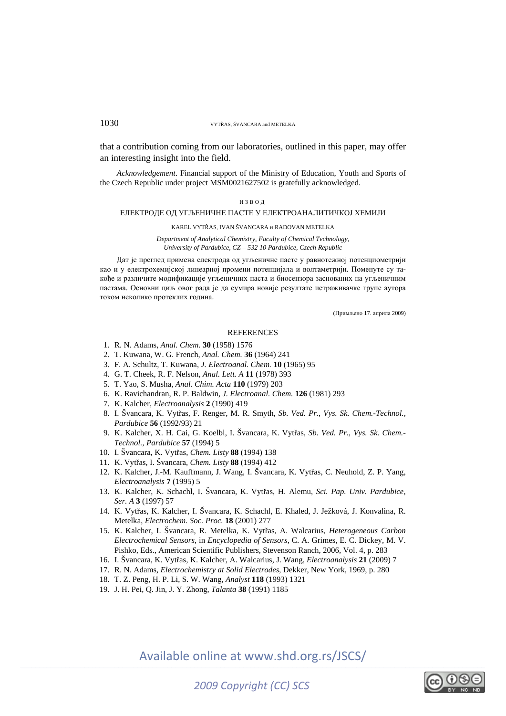that a contribution coming from our laboratories, outlined in this paper, may offer an interesting insight into the field.

*Acknowledgement*. Financial support of the Ministry of Education, Youth and Sports of the Czech Republic under project MSM0021627502 is gratefully acknowledged.

#### ИЗВОД

#### ЕЛЕКТРОДЕ ОД УГЉЕНИЧНЕ ПАСТЕ У ЕЛЕКТРОАНАЛИТИЧКОЈ ХЕМИЈИ

#### KAREL VYTŘAS, IVAN ŠVANCARA и RADOVAN METELKA

*Department of Analytical Chemistry, Faculty of Chemical Technology, University of Pardubice, CZ – 532 10 Pardubice, Czech Republic* 

Дат је преглед примена електрода од угљеничне пасте у равнотежној потенциометрији као и у електрохемијској линеарној промени потенцијала и волтаметрији. Поменуте су такође и различите модификације угљеничних паста и биосензора заснованих на угљеничним пастама. Основни циљ овог рада је да сумира новије резултате истраживачке групе аутора током неколико протеклих година.

(Примљено 17. априла 2009)

### **REFERENCES**

- 1. R. N. Adams, *Anal. Chem.* **30** (1958) 1576
- 2. T. Kuwana, W. G. French, *Anal. Chem.* **36** (1964) 241
- 3. F. A. Schultz, T. Kuwana, *J. Electroanal. Chem.* **10** (1965) 95
- 4. G. T. Cheek, R. F. Nelson, *Anal. Lett. A* **11** (1978) 393
- 5. T. Yao, S. Musha, *Anal. Chim. Acta* **110** (1979) 203
- 6. K. Ravichandran, R. P. Baldwin, *J. Electroanal. Chem.* **126** (1981) 293
- 7. K. Kalcher, *Electroanalysis* **2** (1990) 419
- 8. I. Švancara, K. Vytřas, F. Renger, M. R. Smyth, *Sb. Ved. Pr., Vys. Sk. Chem.-Technol., Pardubice* **56** (1992/93) 21
- 9. K. Kalcher, X. H. Cai, G. Koelbl, I. Švancara, K. Vytřas, *Sb. Ved. Pr., Vys. Sk. Chem.- Technol., Pardubice* **57** (1994) 5
- 10. I. Švancara, K. Vytřas, *Chem. Listy* **88** (1994) 138
- 11. K. Vytřas, I. Švancara, *Chem. Listy* **88** (1994) 412
- 12. K. Kalcher, J.-M. Kauffmann, J. Wang, I. Švancara, K. Vytřas, C. Neuhold, Z. P. Yang, *Electroanalysis* **7** (1995) 5
- 13. K. Kalcher, K. Schachl, I. Švancara, K. Vytřas, H. Alemu, *Sci. Pap. Univ. Pardubice, Ser. A* **3** (1997) 57
- 14. K. Vytřas, K. Kalcher, I. Švancara, K. Schachl, E. Khaled, J. Ježková, J. Konvalina, R. Metelka, *Electrochem. Soc. Proc.* **18** (2001) 277
- 15. K. Kalcher, I. Švancara, R. Metelka, K. Vytřas, A. Walcarius, *Heterogeneous Carbon Electrochemical Sensors,* in *Encyclopedia of Sensors,* C. A. Grimes, E. C. Dickey, M. V. Pishko, Eds., American Scientific Publishers, Stevenson Ranch, 2006, Vol. 4, p. 283
- 16. I. Švancara, K. Vytřas, K. Kalcher, A. Walcarius, J. Wang, *Electroanalysis* **21** (2009) 7
- 17. R. N. Adams, *Electrochemistry at Solid Electrodes*, Dekker, New York, 1969, p. 280
- 18. T. Z. Peng, H. P. Li, S. W. Wang, *Analyst* **118** (1993) 1321
- 19. J. H. Pei, Q. Jin, J. Y. Zhong, *Talanta* **38** (1991) 1185

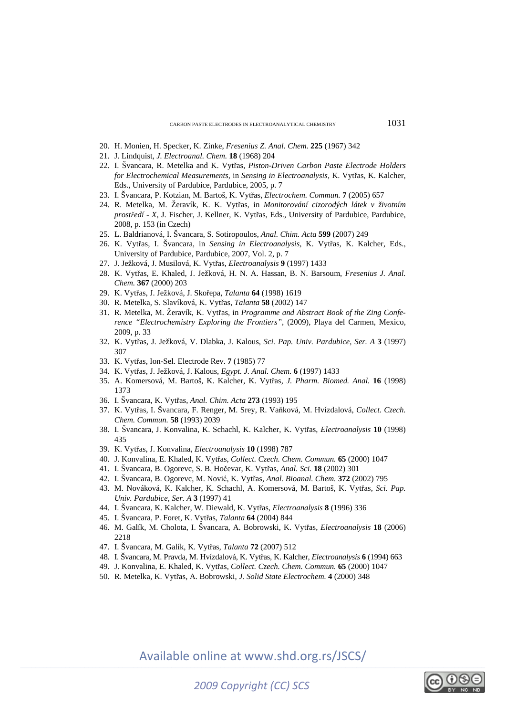- 20. H. Monien, H. Specker, K. Zinke, *Fresenius Z. Anal. Chem.* **225** (1967) 342
- 21. J. Lindquist, *J. Electroanal. Chem.* **18** (1968) 204
- 22. I. Švancara, R. Metelka and K. Vytřas, *Piston-Driven Carbon Paste Electrode Holders for Electrochemical Measurements*, in *Sensing in Electroanalysis,* K. Vytřas, K. Kalcher, Eds., University of Pardubice, Pardubice, 2005, p. 7
- 23. I. Švancara, P. Kotzian, M. Bartoš, K. Vytřas, *Electrochem. Commun.* **7** (2005) 657
- 24. R. Metelka, M. Žeravík, K. K. Vytřas, in *Monitorování cizorodých látek v životním prostředí - X*, J. Fischer, J. Kellner, K. Vytřas, Eds., University of Pardubice, Pardubice, 2008, p. 153 (in Czech)
- 25. L. Baldrianová, I. Švancara, S. Sotiropoulos, *Anal. Chim. Acta* **599** (2007) 249
- 26. K. Vytřas, I. Švancara, in *Sensing in Electroanalysis,* K. Vytřas, K. Kalcher, Eds., University of Pardubice, Pardubice, 2007, Vol. 2, p. 7
- 27. J. Ježková, J. Musilová, K. Vytřas, *Electroanalysis* **9** (1997) 1433
- 28. K. Vytřas, E. Khaled, J. Ježková, H. N. A. Hassan, B. N. Barsoum, *Fresenius J. Anal. Chem.* **367** (2000) 203
- 29. K. Vytřas, J. Ježková, J. Skořepa, *Talanta* **64** (1998) 1619
- 30. R. Metelka, S. Slavíková, K. Vytřas, *Talanta* **58** (2002) 147
- 31. R. Metelka, M. Žeravík, K. Vytřas, in *Programme and Abstract Book of the Zing Conference "Electrochemistry Exploring the Frontiers"*, (2009), Playa del Carmen, Mexico, 2009, p. 33
- 32. K. Vytřas, J. Ježková, V. Dlabka, J. Kalous, *Sci. Pap. Univ. Pardubice, Ser. A* **3** (1997) 307
- 33. K. Vytřas, Ion-Sel. Electrode Rev. **7** (1985) 77
- 34. K. Vytřas, J. Ježková, J. Kalous, *Egypt. J. Anal. Chem.* **6** (1997) 1433
- 35. A. Komersová, M. Bartoš, K. Kalcher, K. Vytřas, *J. Pharm. Biomed. Anal.* **16** (1998) 1373
- 36. I. Švancara, K. Vytřas, *Anal. Chim. Acta* **273** (1993) 195
- 37. K. Vytřas, I. Švancara, F. Renger, M. Srey, R. Vaňková, M. Hvízdalová, *Collect. Czech. Chem. Commun.* **58** (1993) 2039
- 38. I. Švancara, J. Konvalina, K. Schachl, K. Kalcher, K. Vytřas, *Electroanalysis* **10** (1998) 435
- 39. K. Vytřas, J. Konvalina, *Electroanalysis* **10** (1998) 787
- 40. J. Konvalina, E. Khaled, K. Vytřas, *Collect. Czech. Chem. Commun.* **65** (2000) 1047
- 41. I. Švancara, B. Ogorevc, S. B. Hočevar, K. Vytřas, *Anal. Sci.* **18** (2002) 301
- 42. I. Švancara, B. Ogorevc, M. Nović, K. Vytřas, *Anal. Bioanal. Chem.* **372** (2002) 795
- 43. M. Nováková, K. Kalcher, K. Schachl, A. Komersová, M. Bartoš, K. Vytřas, *Sci. Pap. Univ. Pardubice, Ser. A* **3** (1997) 41
- 44. I. Švancara, K. Kalcher, W. Diewald, K. Vytřas, *Electroanalysis* **8** (1996) 336
- 45. I. Švancara, P. Foret, K. Vytřas, *Talanta* **64** (2004) 844
- 46. M. Galík, M. Cholota, I. Švancara, A. Bobrowski, K. Vytřas, *Electroanalysis* **18** (2006) 2218
- 47. I. Švancara, M. Galík, K. Vytřas, *Talanta* **72** (2007) 512
- 48. I. Švancara, M. Pravda, M. Hvízdalová, K. Vytřas, K. Kalcher, *Electroanalysis* **6** (1994) 663
- 49. J. Konvalina, E. Khaled, K. Vytřas, *Collect. Czech. Chem. Commun.* **65** (2000) 1047
- 50. R. Metelka, K. Vytřas, A. Bobrowski, *J. Solid State Electrochem.* **4** (2000) 348

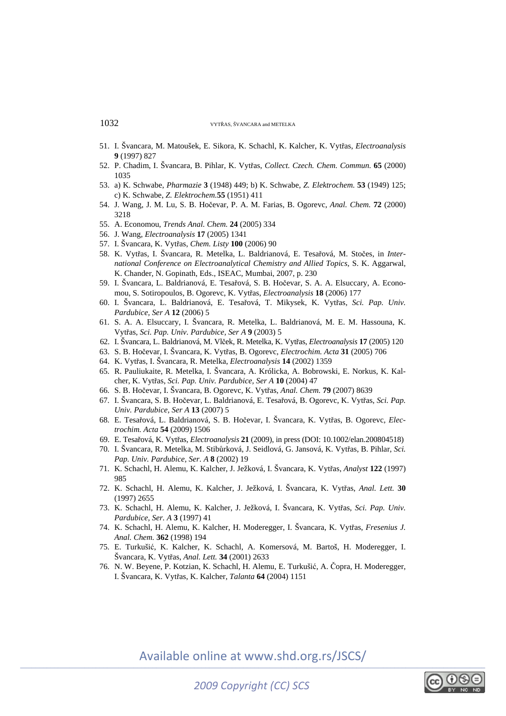- 51. I. Švancara, M. Matoušek, E. Sikora, K. Schachl, K. Kalcher, K. Vytřas, *Electroanalysis*  **9** (1997) 827
- 52. P. Chadim, I. Švancara, B. Pihlar, K. Vytřas, *Collect. Czech. Chem. Commun.* **65** (2000) 1035
- 53. a) K. Schwabe, *Pharmazie* **3** (1948) 449; b) K. Schwabe, *Z. Elektrochem.* **53** (1949) 125; c) K. Schwabe, *Z. Elektrochem.***55** (1951) 411
- 54. J. Wang, J. M. Lu, S. B. Hočevar, P. A. M. Farias, B. Ogorevc, *Anal. Chem.* **72** (2000) 3218
- 55. A. Economou, *Trends Anal. Chem.* **24** (2005) 334
- 56. J. Wang, *Electroanalysis* **17** (2005) 1341
- 57. I. Švancara, K. Vytřas, *Chem. Listy* **100** (2006) 90
- 58. K. Vytřas, I. Švancara, R. Metelka, L. Baldrianová, E. Tesařová, M. Stočes, in *International Conference on Electroanalytical Chemistry and Allied Topics*, S. K. Aggarwal, K. Chander, N. Gopinath, Eds., ISEAC, Mumbai, 2007, p. 230
- 59. I. Švancara, L. Baldrianová, E. Tesařová, S. B. Hočevar, S. A. A. Elsuccary, A. Economou, S. Sotiropoulos, B. Ogorevc, K. Vytřas, *Electroanalysis* **18** (2006) 177
- 60. I. Švancara, L. Baldrianová, E. Tesařová, T. Mikysek, K. Vytřas, *Sci. Pap. Univ. Pardubice, Ser A* **12** (2006) 5
- 61. S. A. A. Elsuccary, I. Švancara, R. Metelka, L. Baldrianová, M. E. M. Hassouna, K. Vytřas, *Sci. Pap. Univ. Pardubice, Ser A* **9** (2003) 5
- 62. I. Švancara, L. Baldrianová, M. Vlček, R. Metelka, K. Vytřas, *Electroanalysis* **17** (2005) 120
- 63. S. B. Hočevar, I. Švancara, K. Vytřas, B. Ogorevc, *Electrochim. Acta* **31** (2005) 706
- 64. K. Vytřas, I. Švancara, R. Metelka, *Electroanalysis* **14** (2002) 1359
- 65. R. Pauliukaite, R. Metelka, I. Švancara, A. Królicka, A. Bobrowski, E. Norkus, K. Kalcher, K. Vytřas, *Sci. Pap. Univ. Pardubice, Ser A* **10** (2004) 47
- 66. S. B. Hočevar, I. Švancara, B. Ogorevc, K. Vytřas, *Anal. Chem.* **79** (2007) 8639
- 67. I. Švancara, S. B. Hočevar, L. Baldrianová, E. Tesařová, B. Ogorevc, K. Vytřas, *Sci. Pap. Univ. Pardubice, Ser A* **13** (2007) 5
- 68. E. Tesařová, L. Baldrianová, S. B. Hočevar, I. Švancara, K. Vytřas, B. Ogorevc, *Electrochim. Acta* **54** (2009) 1506
- 69. E. Tesařová, K. Vytřas, *Electroanalysis* **21** (2009), in press (DOI: 10.1002/elan.200804518)
- 70. I. Švancara, R. Metelka, M. Stibůrková, J. Seidlová, G. Jansová, K. Vytřas, B. Pihlar, *Sci. Pap. Univ. Pardubice, Ser. A* **8** (2002) 19
- 71. K. Schachl, H. Alemu, K. Kalcher, J. Ježková, I. Švancara, K. Vytřas, *Analyst* **122** (1997) 985
- 72. K. Schachl, H. Alemu, K. Kalcher, J. Ježková, I. Švancara, K. Vytřas, *Anal. Lett.* **30**  (1997) 2655
- 73. K. Schachl, H. Alemu, K. Kalcher, J. Ježková, I. Švancara, K. Vytřas, *Sci. Pap. Univ. Pardubice, Ser. A* **3** (1997) 41
- 74. K. Schachl, H. Alemu, K. Kalcher, H. Moderegger, I. Švancara, K. Vytřas, *Fresenius J. Anal. Chem.* **362** (1998) 194
- 75. E. Turkušić, K. Kalcher, K. Schachl, A. Komersová, M. Bartoš, H. Moderegger, I. Švancara, K. Vytřas, *Anal. Lett.* **34** (2001) 2633
- 76. N. W. Beyene, P. Kotzian, K. Schachl, H. Alemu, E. Turkušić, A. Čopra, H. Moderegger, I. Švancara, K. Vytřas, K. Kalcher, *Talanta* **64** (2004) 1151